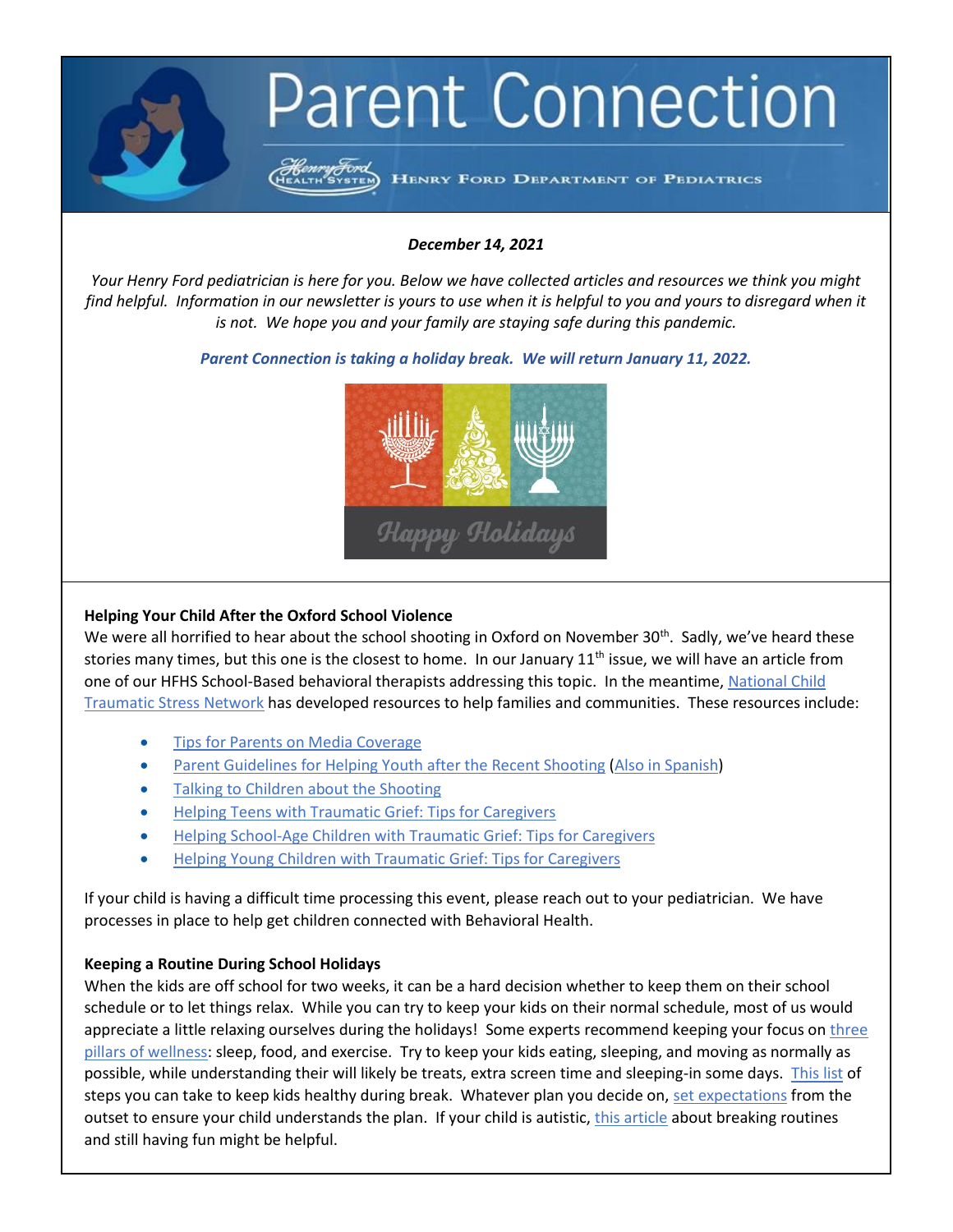

## *December 14, 2021*

*Your Henry Ford pediatrician is here for you. Below we have collected articles and resources we think you might find helpful. Information in our newsletter is yours to use when it is helpful to you and yours to disregard when it is not. We hope you and your family are staying safe during this pandemic.*

*Parent Connection is taking a holiday break. We will return January 11, 2022.*



# **Helping Your Child After the Oxford School Violence**

We were all horrified to hear about the school shooting in Oxford on November  $30^{th}$ . Sadly, we've heard these stories many times, but this one is the closest to home. In our January  $11<sup>th</sup>$  issue, we will have an article from one of our HFHS School-Based behavioral therapists addressing this topic. In the meantime, [National Child](https://www.nctsn.org/resources/all-nctsn-resources)  [Traumatic Stress Network](https://www.nctsn.org/resources/all-nctsn-resources) has developed resources to help families and communities. These resources include:

- [Tips for Parents on Media Coverage](https://urldefense.com/v3/__https:/www.nctsn.org/resources/tips-parents-media-coverage-shooting__;!!PFzsKvxRBh-H!LANBByFIkoKkLV5bgyjHNinPnkkw-tUaWdcxEElMSxCaIRhbOZkDdqS2mtkULYU$)
- [Parent Guidelines for Helping Youth after the Recent Shooting](https://urldefense.com/v3/__http:/www.nctsn.org/sites/default/files/assets/pdfs/parents_guidelines_for_helping_teens_after_the_recent_attacks.pdf__;!!PFzsKvxRBh-H!LANBByFIkoKkLV5bgyjHNinPnkkw-tUaWdcxEElMSxCaIRhbOZkDdqS2BEQiAMM$) [\(Also in Spanish\)](https://urldefense.com/v3/__https:/www.nctsn.org/resources/guia-para-los-padres-para-ayudar-los-jovenes-despues-de-un-tiroteo-reciente__;!!PFzsKvxRBh-H!LANBByFIkoKkLV5bgyjHNinPnkkw-tUaWdcxEElMSxCaIRhbOZkDdqS2dHURU18$)
- [Talking to Children about the Shooting](https://urldefense.com/v3/__http:/www.nctsn.org/sites/default/files/assets/pdfs/talking_to_children_about_the_shooting.pdf__;!!PFzsKvxRBh-H!LANBByFIkoKkLV5bgyjHNinPnkkw-tUaWdcxEElMSxCaIRhbOZkDdqS2mk_c6dc$)
- [Helping Teens with Traumatic Grief: Tips for Caregivers](https://urldefense.com/v3/__https:/www.nctsn.org/resources/helping-teens-traumatic-grief-tips-caregivers__;!!PFzsKvxRBh-H!LANBByFIkoKkLV5bgyjHNinPnkkw-tUaWdcxEElMSxCaIRhbOZkDdqS2GFzLaJM$)
- [Helping School-Age Children with Traumatic Grief: Tips for Caregivers](https://urldefense.com/v3/__https:/www.nctsn.org/resources/helping-school-age-children-traumatic-grief-tips-caregivers__;!!PFzsKvxRBh-H!LANBByFIkoKkLV5bgyjHNinPnkkw-tUaWdcxEElMSxCaIRhbOZkDdqS2eKtXl2o$)
- [Helping Young Children with Traumatic Grief: Tips for Caregivers](https://urldefense.com/v3/__https:/www.nctsn.org/resources/helping-young-children-traumatic-grief-tips-caregivers__;!!PFzsKvxRBh-H!LANBByFIkoKkLV5bgyjHNinPnkkw-tUaWdcxEElMSxCaIRhbOZkDdqS2Kg96Pyk$)

If your child is having a difficult time processing this event, please reach out to your pediatrician. We have processes in place to help get children connected with Behavioral Health.

## **Keeping a Routine During School Holidays**

When the kids are off school for two weeks, it can be a hard decision whether to keep them on their school schedule or to let things relax. While you can try to keep your kids on their normal schedule, most of us would appreciate a little relaxing ourselves during the holidays! Some experts recommend keeping your focus on three [pillars of wellness:](https://www.nytimes.com/2020/04/17/parenting/kids-active-holidays.html) sleep, food, and exercise. Try to keep your kids eating, sleeping, and moving as normally as possible, while understanding their will likely be treats, extra screen time and sleeping-in some days. [This list](https://www.unitypoint.org/blankchildrens/article.aspx?id=899c0e33-0fa5-4754-9e95-18a049e9d2fd) of steps you can take to keep kids healthy during break. Whatever plan you decide on[, set expectations](https://childrensmd.org/browse-by-age-group/school-age/maintaining-a-routine-during-holiday-breaks-smooth-back-to-school-transitions/) from the outset to ensure your child understands the plan. If your child is autistic, [this article](https://autisticmama.com/survive-the-lack-of-routine-during-the-holidays/) about breaking routines and still having fun might be helpful.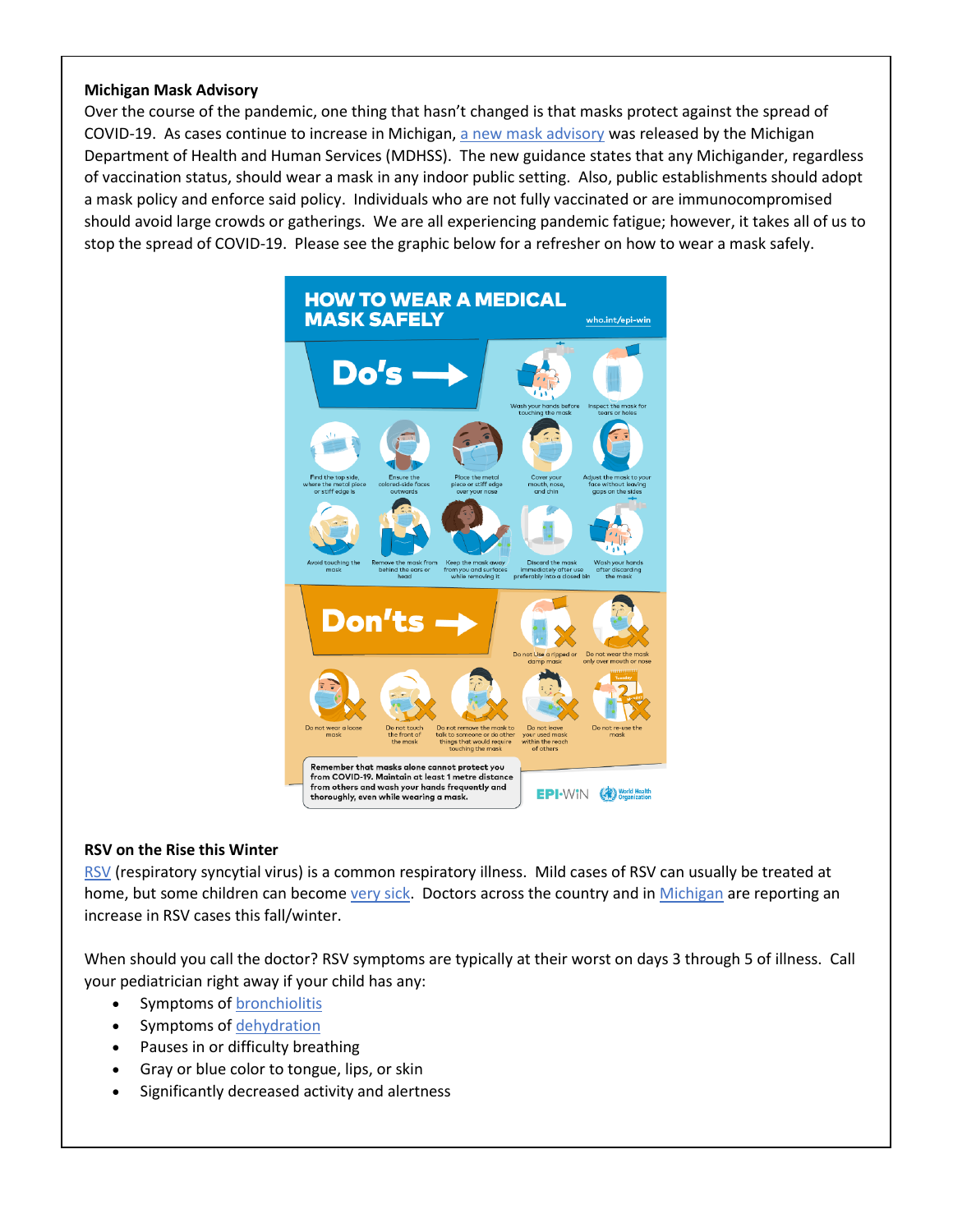## **Michigan Mask Advisory**

Over the course of the pandemic, one thing that hasn't changed is that masks protect against the spread of COVID-19. As cases continue to increase in Michigan, [a new mask advisory](https://www.michigan.gov/documents/coronavirus/Nov_19_2021_Public_Health_Advisory_741750_7.pdf) was released by the Michigan Department of Health and Human Services (MDHSS). The new guidance states that any Michigander, regardless of vaccination status, should wear a mask in any indoor public setting. Also, public establishments should adopt a mask policy and enforce said policy. Individuals who are not fully vaccinated or are immunocompromised should avoid large crowds or gatherings. We are all experiencing pandemic fatigue; however, it takes all of us to stop the spread of COVID-19. Please see the graphic below for a refresher on how to wear a mask safely.



## **RSV on the Rise this Winter**

[RSV](https://www.uofmhealth.org/health-library/hw176517) (respiratory syncytial virus) is a common respiratory illness. Mild cases of RSV can usually be treated at home, but some children can become [very sick.](https://www.healthychildren.org/English/health-issues/conditions/chest-lungs/Pages/RSV-When-Its-More-Than-Just-a-Cold.aspx?_ga=2.208599058.1638353782.1638820518-2125493796.1635440263&_gl=1*164hah0*_ga*MjEyNTQ5Mzc5Ni4xNjM1NDQwMjYz*_ga_FD9D3XZVQQ*MTYzODgyODE4My4zLjEuMTYzODgyODE5OS4w) Doctors across the country and in [Michigan](https://www.wxyz.com/news/coronavirus/state-expecting-a-rise-in-rsv-cases-among-kids-heres-what-to-look-out-for-how-to-stay-safe) are reporting an increase in RSV cases this fall/winter.

When should you call the doctor? RSV symptoms are typically at their worst on days 3 through 5 of illness. Call your pediatrician right away if your child has any:

- Symptoms of **[bronchiolitis](https://www.healthychildren.org/English/health-issues/conditions/chest-lungs/Pages/Bronchiolitis.aspx)**
- Symptoms of [dehydration](https://www.healthychildren.org/English/health-issues/injuries-emergencies/Pages/dehydration.aspx)
- Pauses in or difficulty breathing
- Gray or blue color to tongue, lips, or skin
- Significantly decreased activity and alertness